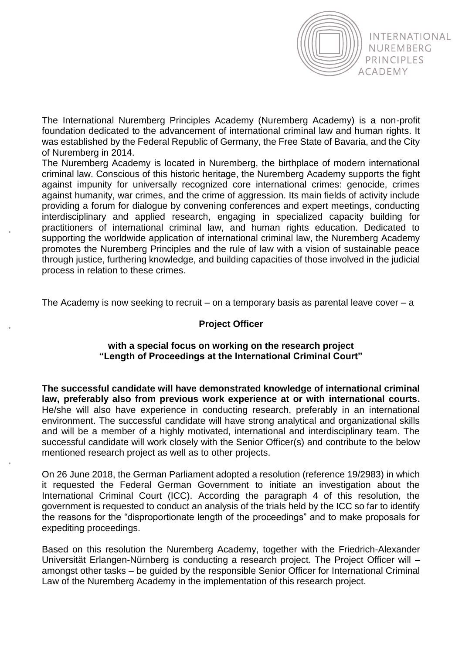

The International Nuremberg Principles Academy (Nuremberg Academy) is a non-profit foundation dedicated to the advancement of international criminal law and human rights. It was established by the Federal Republic of Germany, the Free State of Bavaria, and the City of Nuremberg in 2014.

The Nuremberg Academy is located in Nuremberg, the birthplace of modern international criminal law. Conscious of this historic heritage, the Nuremberg Academy supports the fight against impunity for universally recognized core international crimes: genocide, crimes against humanity, war crimes, and the crime of aggression. Its main fields of activity include providing a forum for dialogue by convening conferences and expert meetings, conducting interdisciplinary and applied research, engaging in specialized capacity building for practitioners of international criminal law, and human rights education. Dedicated to supporting the worldwide application of international criminal law, the Nuremberg Academy promotes the Nuremberg Principles and the rule of law with a vision of sustainable peace through justice, furthering knowledge, and building capacities of those involved in the judicial process in relation to these crimes.

The Academy is now seeking to recruit – on a temporary basis as parental leave cover  $-a$ 

## **Project Officer**

## **with a special focus on working on the research project "Length of Proceedings at the International Criminal Court"**

**The successful candidate will have demonstrated knowledge of international criminal law, preferably also from previous work experience at or with international courts.**  He/she will also have experience in conducting research, preferably in an international environment. The successful candidate will have strong analytical and organizational skills and will be a member of a highly motivated, international and interdisciplinary team. The successful candidate will work closely with the Senior Officer(s) and contribute to the below mentioned research project as well as to other projects.

On 26 June 2018, the German Parliament adopted a resolution (reference 19/2983) in which it requested the Federal German Government to initiate an investigation about the International Criminal Court (ICC). According the paragraph 4 of this resolution, the government is requested to conduct an analysis of the trials held by the ICC so far to identify the reasons for the "disproportionate length of the proceedings" and to make proposals for expediting proceedings.

Based on this resolution the Nuremberg Academy, together with the Friedrich-Alexander Universität Erlangen-Nürnberg is conducting a research project. The Project Officer will – amongst other tasks – be guided by the responsible Senior Officer for International Criminal Law of the Nuremberg Academy in the implementation of this research project.